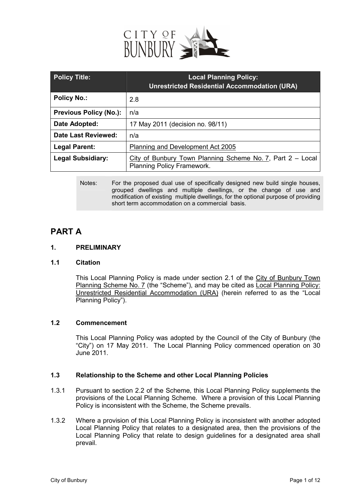

| <b>Policy Title:</b>          | <b>Local Planning Policy:</b><br><b>Unrestricted Residential Accommodation (URA)</b>     |
|-------------------------------|------------------------------------------------------------------------------------------|
| <b>Policy No.:</b>            | 2.8                                                                                      |
| <b>Previous Policy (No.):</b> | n/a                                                                                      |
| Date Adopted:                 | 17 May 2011 (decision no. 98/11)                                                         |
| <b>Date Last Reviewed:</b>    | n/a                                                                                      |
| <b>Legal Parent:</b>          | Planning and Development Act 2005                                                        |
| <b>Legal Subsidiary:</b>      | City of Bunbury Town Planning Scheme No. 7, Part 2 - Local<br>Planning Policy Framework. |

Notes: For the proposed dual use of specifically designed new build single houses, grouped dwellings and multiple dwellings, or the change of use and modification of existing multiple dwellings, for the optional purpose of providing short term accommodation on a commercial basis.

# **PART A**

# **1. PRELIMINARY**

# **1.1 Citation**

This Local Planning Policy is made under section 2.1 of the City of Bunbury Town Planning Scheme No. 7 (the "Scheme"), and may be cited as Local Planning Policy: Unrestricted Residential Accommodation (URA) (herein referred to as the "Local Planning Policy").

# **1.2 Commencement**

This Local Planning Policy was adopted by the Council of the City of Bunbury (the "City") on 17 May 2011. The Local Planning Policy commenced operation on 30 June 2011.

## **1.3 Relationship to the Scheme and other Local Planning Policies**

- 1.3.1 Pursuant to section 2.2 of the Scheme, this Local Planning Policy supplements the provisions of the Local Planning Scheme. Where a provision of this Local Planning Policy is inconsistent with the Scheme, the Scheme prevails.
- 1.3.2 Where a provision of this Local Planning Policy is inconsistent with another adopted Local Planning Policy that relates to a designated area, then the provisions of the Local Planning Policy that relate to design guidelines for a designated area shall prevail.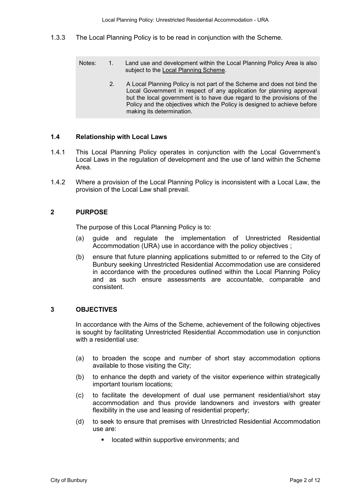- 1.3.3 The Local Planning Policy is to be read in conjunction with the Scheme.
	- 1. Land use and development within the Local Planning Policy Area is also subject to the Local Planning Scheme. Notes:
		- 2. A Local Planning Policy is not part of the Scheme and does not bind the Local Government in respect of any application for planning approval but the local government is to have due regard to the provisions of the Policy and the objectives which the Policy is designed to achieve before making its determination.

#### **1.4 Relationship with Local Laws**

- 1.4.1 This Local Planning Policy operates in conjunction with the Local Government's Local Laws in the regulation of development and the use of land within the Scheme Area.
- 1.4.2 Where a provision of the Local Planning Policy is inconsistent with a Local Law, the provision of the Local Law shall prevail.

#### **2 PURPOSE**

The purpose of this Local Planning Policy is to:

- (a) guide and regulate the implementation of Unrestricted Residential Accommodation (URA) use in accordance with the policy objectives ;
- (b) ensure that future planning applications submitted to or referred to the City of Bunbury seeking Unrestricted Residential Accommodation use are considered in accordance with the procedures outlined within the Local Planning Policy and as such ensure assessments are accountable, comparable and consistent.

#### **3 OBJECTIVES**

In accordance with the Aims of the Scheme, achievement of the following objectives is sought by facilitating Unrestricted Residential Accommodation use in conjunction with a residential use:

- (a) to broaden the scope and number of short stay accommodation options available to those visiting the City;
- (b) to enhance the depth and variety of the visitor experience within strategically important tourism locations;
- (c) to facilitate the development of dual use permanent residential/short stay accommodation and thus provide landowners and investors with greater flexibility in the use and leasing of residential property;
- (d) to seek to ensure that premises with Unrestricted Residential Accommodation use are:
	- located within supportive environments; and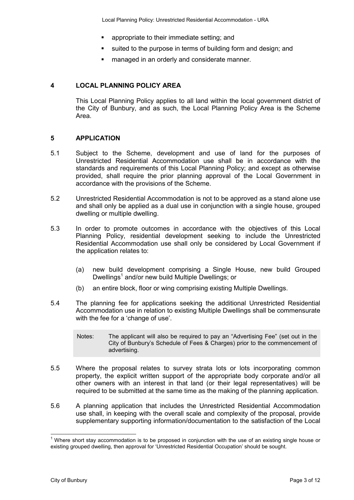- **EXECUTE:** appropriate to their immediate setting; and
- suited to the purpose in terms of building form and design; and
- **EXEC** managed in an orderly and considerate manner.

#### **4 LOCAL PLANNING POLICY AREA**

 This Local Planning Policy applies to all land within the local government district of the City of Bunbury, and as such, the Local Planning Policy Area is the Scheme Area.

#### **5 APPLICATION**

- 5.1 Subject to the Scheme, development and use of land for the purposes of Unrestricted Residential Accommodation use shall be in accordance with the standards and requirements of this Local Planning Policy; and except as otherwise provided, shall require the prior planning approval of the Local Government in accordance with the provisions of the Scheme.
- 5.2 Unrestricted Residential Accommodation is not to be approved as a stand alone use and shall only be applied as a dual use in conjunction with a single house, grouped dwelling or multiple dwelling.
- 5.3 In order to promote outcomes in accordance with the objectives of this Local Planning Policy, residential development seeking to include the Unrestricted Residential Accommodation use shall only be considered by Local Government if the application relates to:
	- (a) new build development comprising a Single House, new build Grouped Dwellings<sup>1</sup> and/or new build Multiple Dwellings; or
	- (b) an entire block, floor or wing comprising existing Multiple Dwellings.
- 5.4 The planning fee for applications seeking the additional Unrestricted Residential Accommodation use in relation to existing Multiple Dwellings shall be commensurate with the fee for a 'change of use'.
	- Notes: The applicant will also be required to pay an "Advertising Fee" (set out in the City of Bunbury's Schedule of Fees & Charges) prior to the commencement of advertising.
- 5.5 Where the proposal relates to survey strata lots or lots incorporating common property, the explicit written support of the appropriate body corporate and/or all other owners with an interest in that land (or their legal representatives) will be required to be submitted at the same time as the making of the planning application.
- 5.6 A planning application that includes the Unrestricted Residential Accommodation use shall, in keeping with the overall scale and complexity of the proposal, provide supplementary supporting information/documentation to the satisfaction of the Local

 $\overline{a}$  $1$  Where short stay accommodation is to be proposed in conjunction with the use of an existing single house or existing grouped dwelling, then approval for 'Unrestricted Residential Occupation' should be sought.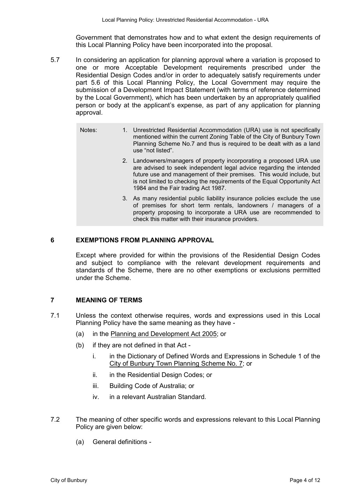Government that demonstrates how and to what extent the design requirements of this Local Planning Policy have been incorporated into the proposal.

- 5.7 In considering an application for planning approval where a variation is proposed to one or more Acceptable Development requirements prescribed under the Residential Design Codes and/or in order to adequately satisfy requirements under part 5.6 of this Local Planning Policy, the Local Government may require the submission of a Development Impact Statement (with terms of reference determined by the Local Government), which has been undertaken by an appropriately qualified person or body at the applicant's expense, as part of any application for planning approval.
	- Notes: 1. Unrestricted Residential Accommodation (URA) use is not specifically mentioned within the current Zoning Table of the City of Bunbury Town Planning Scheme No.7 and thus is required to be dealt with as a land use "not listed".
		- 2. Landowners/managers of property incorporating a proposed URA use are advised to seek independent legal advice regarding the intended future use and management of their premises. This would include, but is not limited to checking the requirements of the Equal Opportunity Act 1984 and the Fair trading Act 1987.
		- 3. As many residential public liability insurance policies exclude the use of premises for short term rentals, landowners / managers of a property proposing to incorporate a URA use are recommended to check this matter with their insurance providers.

#### **6 EXEMPTIONS FROM PLANNING APPROVAL**

Except where provided for within the provisions of the Residential Design Codes and subject to compliance with the relevant development requirements and standards of the Scheme, there are no other exemptions or exclusions permitted under the Scheme.

#### **7 MEANING OF TERMS**

- 7.1 Unless the context otherwise requires, words and expressions used in this Local Planning Policy have the same meaning as they have -
	- (a) in the Planning and Development Act 2005; or
	- (b) if they are not defined in that Act
		- i. in the Dictionary of Defined Words and Expressions in Schedule 1 of the City of Bunbury Town Planning Scheme No. 7; or
		- ii. in the Residential Design Codes; or
		- iii. Building Code of Australia; or
		- iv. in a relevant Australian Standard.
- 7.2 The meaning of other specific words and expressions relevant to this Local Planning Policy are given below:
	- (a) General definitions -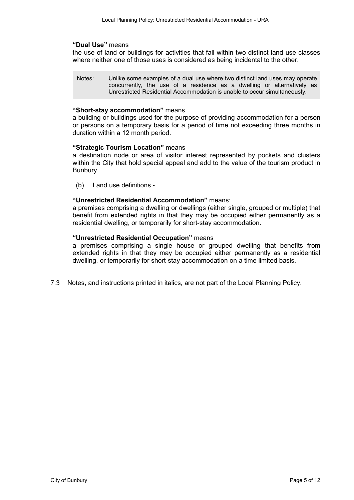#### **"Dual Use"** means

the use of land or buildings for activities that fall within two distinct land use classes where neither one of those uses is considered as being incidental to the other.

Notes: Unlike some examples of a dual use where two distinct land uses may operate concurrently, the use of a residence as a dwelling or alternatively as Unrestricted Residential Accommodation is unable to occur simultaneously.

#### **"Short-stay accommodation"** means

a building or buildings used for the purpose of providing accommodation for a person or persons on a temporary basis for a period of time not exceeding three months in duration within a 12 month period.

#### **"Strategic Tourism Location"** means

a destination node or area of visitor interest represented by pockets and clusters within the City that hold special appeal and add to the value of the tourism product in Bunbury.

(b) Land use definitions -

#### **"Unrestricted Residential Accommodation"** means:

a premises comprising a dwelling or dwellings (either single, grouped or multiple) that benefit from extended rights in that they may be occupied either permanently as a residential dwelling, or temporarily for short-stay accommodation.

#### **"Unrestricted Residential Occupation"** means

a premises comprising a single house or grouped dwelling that benefits from extended rights in that they may be occupied either permanently as a residential dwelling, or temporarily for short-stay accommodation on a time limited basis.

7.3 Notes, and instructions printed in italics, are not part of the Local Planning Policy.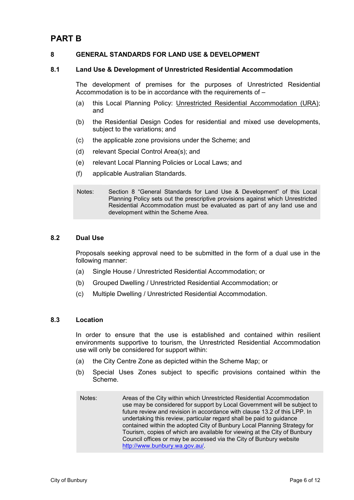# **PART B**

## **8 GENERAL STANDARDS FOR LAND USE & DEVELOPMENT**

#### **8.1 Land Use & Development of Unrestricted Residential Accommodation**

The development of premises for the purposes of Unrestricted Residential Accommodation is to be in accordance with the requirements of –

- (a) this Local Planning Policy: Unrestricted Residential Accommodation (URA); and
- (b) the Residential Design Codes for residential and mixed use developments, subject to the variations; and
- (c) the applicable zone provisions under the Scheme; and
- (d) relevant Special Control Area(s); and
- (e) relevant Local Planning Policies or Local Laws; and
- (f) applicable Australian Standards.

Notes: Section 8 "General Standards for Land Use & Development" of this Local Planning Policy sets out the prescriptive provisions against which Unrestricted Residential Accommodation must be evaluated as part of any land use and development within the Scheme Area.

## **8.2 Dual Use**

Proposals seeking approval need to be submitted in the form of a dual use in the following manner:

- (a) Single House / Unrestricted Residential Accommodation; or
- (b) Grouped Dwelling / Unrestricted Residential Accommodation; or
- (c) Multiple Dwelling / Unrestricted Residential Accommodation.

#### **8.3 Location**

In order to ensure that the use is established and contained within resilient environments supportive to tourism, the Unrestricted Residential Accommodation use will only be considered for support within:

- (a) the City Centre Zone as depicted within the Scheme Map; or
- (b) Special Uses Zones subject to specific provisions contained within the Scheme.
- Notes: Areas of the City within which Unrestricted Residential Accommodation use may be considered for support by Local Government will be subject to future review and revision in accordance with clause 13.2 of this LPP. In undertaking this review, particular regard shall be paid to guidance contained within the adopted City of Bunbury Local Planning Strategy for Tourism, copies of which are available for viewing at the City of Bunbury Council offices or may be accessed via the City of Bunbury website http://www.bunbury.wa.gov.au/.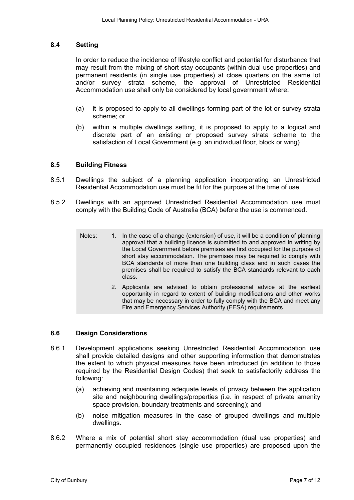#### **8.4 Setting**

 In order to reduce the incidence of lifestyle conflict and potential for disturbance that may result from the mixing of short stay occupants (within dual use properties) and permanent residents (in single use properties) at close quarters on the same lot and/or survey strata scheme, the approval of Unrestricted Residential Accommodation use shall only be considered by local government where:

- (a) it is proposed to apply to all dwellings forming part of the lot or survey strata scheme; or
- (b) within a multiple dwellings setting, it is proposed to apply to a logical and discrete part of an existing or proposed survey strata scheme to the satisfaction of Local Government (e.g. an individual floor, block or wing).

#### **8.5 Building Fitness**

- 8.5.1 Dwellings the subject of a planning application incorporating an Unrestricted Residential Accommodation use must be fit for the purpose at the time of use.
- 8.5.2 Dwellings with an approved Unrestricted Residential Accommodation use must comply with the Building Code of Australia (BCA) before the use is commenced.
	- Notes: 1. In the case of a change (extension) of use, it will be a condition of planning approval that a building licence is submitted to and approved in writing by the Local Government before premises are first occupied for the purpose of short stay accommodation. The premises may be required to comply with BCA standards of more than one building class and in such cases the premises shall be required to satisfy the BCA standards relevant to each class.
		- 2. Applicants are advised to obtain professional advice at the earliest opportunity in regard to extent of building modifications and other works that may be necessary in order to fully comply with the BCA and meet any Fire and Emergency Services Authority (FESA) requirements.

## **8.6 Design Considerations**

- 8.6.1 Development applications seeking Unrestricted Residential Accommodation use shall provide detailed designs and other supporting information that demonstrates the extent to which physical measures have been introduced (in addition to those required by the Residential Design Codes) that seek to satisfactorily address the following:
	- (a) achieving and maintaining adequate levels of privacy between the application site and neighbouring dwellings/properties (i.e. in respect of private amenity space provision, boundary treatments and screening); and
	- (b) noise mitigation measures in the case of grouped dwellings and multiple dwellings.
- 8.6.2 Where a mix of potential short stay accommodation (dual use properties) and permanently occupied residences (single use properties) are proposed upon the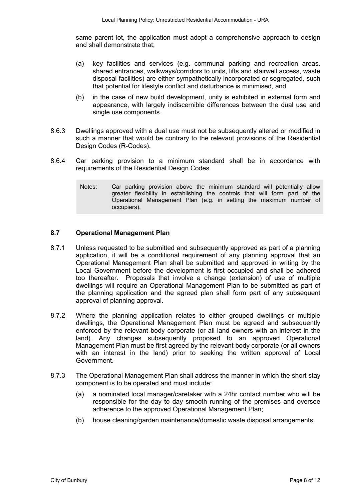same parent lot, the application must adopt a comprehensive approach to design and shall demonstrate that;

- (a) key facilities and services (e.g. communal parking and recreation areas, shared entrances, walkways/corridors to units, lifts and stairwell access, waste disposal facilities) are either sympathetically incorporated or segregated, such that potential for lifestyle conflict and disturbance is minimised, and
- (b) in the case of new build development, unity is exhibited in external form and appearance, with largely indiscernible differences between the dual use and single use components.
- 8.6.3 Dwellings approved with a dual use must not be subsequently altered or modified in such a manner that would be contrary to the relevant provisions of the Residential Design Codes (R-Codes).
- 8.6.4 Car parking provision to a minimum standard shall be in accordance with requirements of the Residential Design Codes.
	- Notes: Car parking provision above the minimum standard will potentially allow greater flexibility in establishing the controls that will form part of the Operational Management Plan (e.g. in setting the maximum number of occupiers).

#### **8.7 Operational Management Plan**

- 8.7.1 Unless requested to be submitted and subsequently approved as part of a planning application, it will be a conditional requirement of any planning approval that an Operational Management Plan shall be submitted and approved in writing by the Local Government before the development is first occupied and shall be adhered too thereafter. Proposals that involve a change (extension) of use of multiple dwellings will require an Operational Management Plan to be submitted as part of the planning application and the agreed plan shall form part of any subsequent approval of planning approval.
- 8.7.2 Where the planning application relates to either grouped dwellings or multiple dwellings, the Operational Management Plan must be agreed and subsequently enforced by the relevant body corporate (or all land owners with an interest in the land). Any changes subsequently proposed to an approved Operational Management Plan must be first agreed by the relevant body corporate (or all owners with an interest in the land) prior to seeking the written approval of Local Government.
- 8.7.3 The Operational Management Plan shall address the manner in which the short stay component is to be operated and must include:
	- (a) a nominated local manager/caretaker with a 24hr contact number who will be responsible for the day to day smooth running of the premises and oversee adherence to the approved Operational Management Plan;
	- (b) house cleaning/garden maintenance/domestic waste disposal arrangements;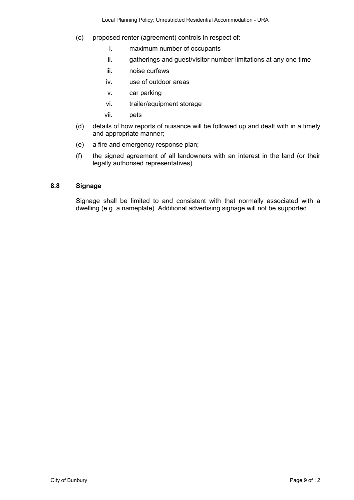- (c) proposed renter (agreement) controls in respect of:
	- i. maximum number of occupants
	- ii. gatherings and guest/visitor number limitations at any one time
	- iii. noise curfews
	- iv. use of outdoor areas
	- v. car parking
	- vi. trailer/equipment storage
	- vii. pets
- (d) details of how reports of nuisance will be followed up and dealt with in a timely and appropriate manner;
- (e) a fire and emergency response plan;
- (f) the signed agreement of all landowners with an interest in the land (or their legally authorised representatives).

## **8.8 Signage**

Signage shall be limited to and consistent with that normally associated with a dwelling (e.g. a nameplate). Additional advertising signage will not be supported.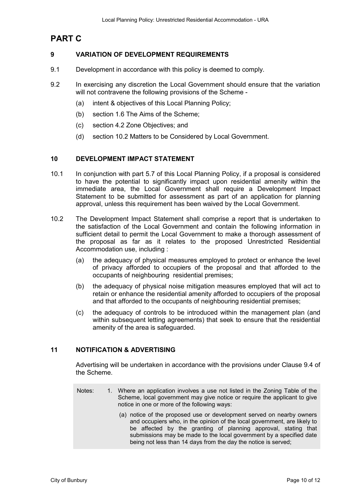# **PART C**

## **9 VARIATION OF DEVELOPMENT REQUIREMENTS**

- 9.1 Development in accordance with this policy is deemed to comply.
- 9.2 In exercising any discretion the Local Government should ensure that the variation will not contravene the following provisions of the Scheme -
	- (a) intent & objectives of this Local Planning Policy;
	- (b) section 1.6 The Aims of the Scheme;
	- (c) section 4.2 Zone Objectives; and
	- (d) section 10.2 Matters to be Considered by Local Government.

#### **10 DEVELOPMENT IMPACT STATEMENT**

- 10.1 In conjunction with part 5.7 of this Local Planning Policy, if a proposal is considered to have the potential to significantly impact upon residential amenity within the immediate area, the Local Government shall require a Development Impact Statement to be submitted for assessment as part of an application for planning approval, unless this requirement has been waived by the Local Government.
- 10.2 The Development Impact Statement shall comprise a report that is undertaken to the satisfaction of the Local Government and contain the following information in sufficient detail to permit the Local Government to make a thorough assessment of the proposal as far as it relates to the proposed Unrestricted Residential Accommodation use, including :
	- (a) the adequacy of physical measures employed to protect or enhance the level of privacy afforded to occupiers of the proposal and that afforded to the occupants of neighbouring residential premises;
	- (b) the adequacy of physical noise mitigation measures employed that will act to retain or enhance the residential amenity afforded to occupiers of the proposal and that afforded to the occupants of neighbouring residential premises;
	- (c) the adequacy of controls to be introduced within the management plan (and within subsequent letting agreements) that seek to ensure that the residential amenity of the area is safeguarded.

## **11 NOTIFICATION & ADVERTISING**

 Advertising will be undertaken in accordance with the provisions under Clause 9.4 of the Scheme.

- Notes: 1. Where an application involves a use not listed in the Zoning Table of the Scheme, local government may give notice or require the applicant to give notice in one or more of the following ways:
	- (a) notice of the proposed use or development served on nearby owners and occupiers who, in the opinion of the local government, are likely to be affected by the granting of planning approval, stating that submissions may be made to the local government by a specified date being not less than 14 days from the day the notice is served;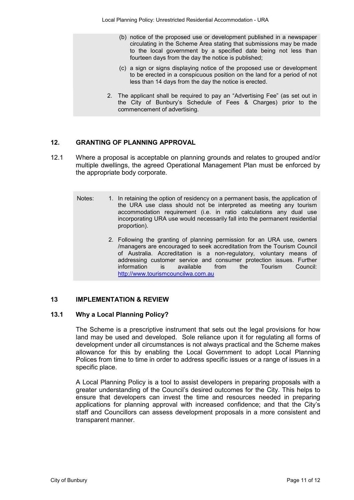- (b) notice of the proposed use or development published in a newspaper circulating in the Scheme Area stating that submissions may be made to the local government by a specified date being not less than fourteen days from the day the notice is published;
- (c) a sign or signs displaying notice of the proposed use or development to be erected in a conspicuous position on the land for a period of not less than 14 days from the day the notice is erected.
- 2. The applicant shall be required to pay an "Advertising Fee" (as set out in the City of Bunbury's Schedule of Fees & Charges) prior to the commencement of advertising.

## **12. GRANTING OF PLANNING APPROVAL**

- 12.1 Where a proposal is acceptable on planning grounds and relates to grouped and/or multiple dwellings, the agreed Operational Management Plan must be enforced by the appropriate body corporate.
	- Notes: 1. In retaining the option of residency on a permanent basis, the application of the URA use class should not be interpreted as meeting any tourism accommodation requirement (i.e. in ratio calculations any dual use incorporating URA use would necessarily fall into the permanent residential proportion).
		- 2. Following the granting of planning permission for an URA use, owners /managers are encouraged to seek accreditation from the Tourism Council of Australia. Accreditation is a non-regulatory, voluntary means of addressing customer service and consumer protection issues. Further information is available from the Tourism Council: http://www.tourismcouncilwa.com.au

# **13 IMPLEMENTATION & REVIEW**

## **13.1 Why a Local Planning Policy?**

The Scheme is a prescriptive instrument that sets out the legal provisions for how land may be used and developed. Sole reliance upon it for regulating all forms of development under all circumstances is not always practical and the Scheme makes allowance for this by enabling the Local Government to adopt Local Planning Polices from time to time in order to address specific issues or a range of issues in a specific place.

A Local Planning Policy is a tool to assist developers in preparing proposals with a greater understanding of the Council's desired outcomes for the City. This helps to ensure that developers can invest the time and resources needed in preparing applications for planning approval with increased confidence; and that the City's staff and Councillors can assess development proposals in a more consistent and transparent manner.